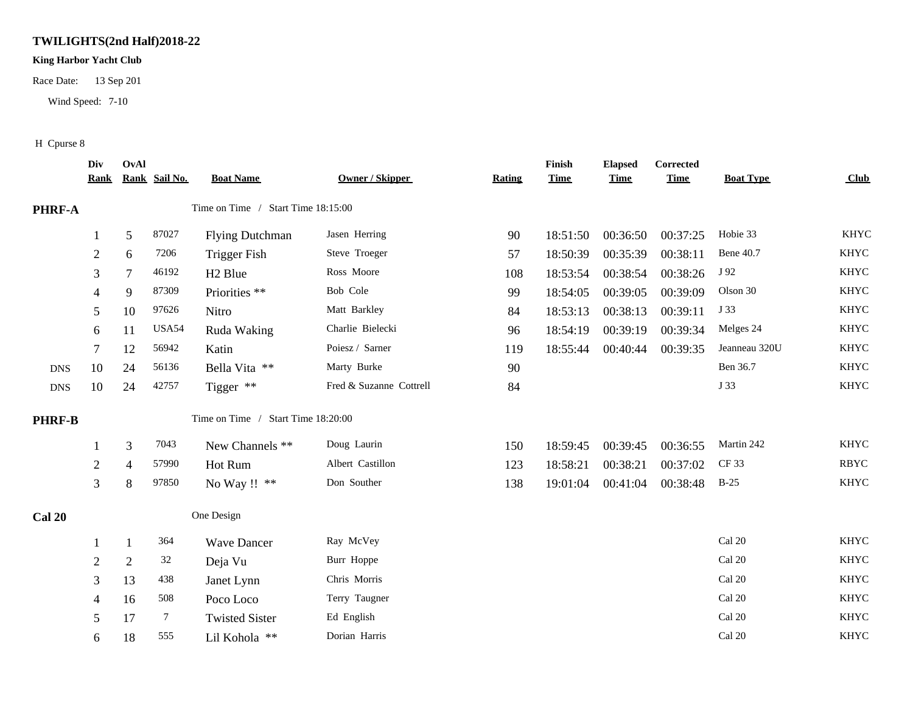## **TWILIGHTS(2nd Half)2018-22**

## **King Harbor Yacht Club**

Race Date: 13 Sep 201

Wind Speed: 7-10

## H Cpurse 8

|               | Div<br><u>Rank</u> | OvAl           | Rank Sail No.  | <b>Boat Name</b>                   | Owner / Skipper         | <b>Rating</b> | Finish<br><b>Time</b> | <b>Elapsed</b><br><b>Time</b> | Corrected<br><b>Time</b> | <b>Boat Type</b> | Club        |
|---------------|--------------------|----------------|----------------|------------------------------------|-------------------------|---------------|-----------------------|-------------------------------|--------------------------|------------------|-------------|
| PHRF-A        |                    |                |                | Time on Time / Start Time 18:15:00 |                         |               |                       |                               |                          |                  |             |
|               |                    | $\sqrt{5}$     | 87027          | <b>Flying Dutchman</b>             | Jasen Herring           | 90            | 18:51:50              | 00:36:50                      | 00:37:25                 | Hobie 33         | <b>KHYC</b> |
|               | $\overline{2}$     | 6              | 7206           | <b>Trigger Fish</b>                | Steve Troeger           | 57            | 18:50:39              | 00:35:39                      | 00:38:11                 | Bene 40.7        | <b>KHYC</b> |
|               | 3                  | 7              | 46192          | H <sub>2</sub> Blue                | Ross Moore              | 108           | 18:53:54              | 00:38:54                      | 00:38:26                 | J 92             | <b>KHYC</b> |
|               | 4                  | 9              | 87309          | Priorities **                      | Bob Cole                | 99            | 18:54:05              | 00:39:05                      | 00:39:09                 | Olson 30         | <b>KHYC</b> |
|               | 5                  | 10             | 97626          | Nitro                              | Matt Barkley            | 84            | 18:53:13              | 00:38:13                      | 00:39:11                 | J 33             | KHYC        |
|               | 6                  | 11             | USA54          | Ruda Waking                        | Charlie Bielecki        | 96            | 18:54:19              | 00:39:19                      | 00:39:34                 | Melges 24        | KHYC        |
|               | 7                  | 12             | 56942          | Katin                              | Poiesz / Sarner         | 119           | 18:55:44              | 00:40:44                      | 00:39:35                 | Jeanneau 320U    | <b>KHYC</b> |
| <b>DNS</b>    | 10                 | 24             | 56136          | Bella Vita **                      | Marty Burke             | 90            |                       |                               |                          | Ben 36.7         | KHYC        |
| <b>DNS</b>    | 10                 | 24             | 42757          | Tigger **                          | Fred & Suzanne Cottrell | 84            |                       |                               |                          | J 33             | <b>KHYC</b> |
| <b>PHRF-B</b> |                    |                |                | Time on Time / Start Time 18:20:00 |                         |               |                       |                               |                          |                  |             |
|               |                    | $\mathfrak{Z}$ | 7043           | New Channels **                    | Doug Laurin             | 150           | 18:59:45              | 00:39:45                      | 00:36:55                 | Martin 242       | <b>KHYC</b> |
|               | 2                  | $\overline{4}$ | 57990          | Hot Rum                            | Albert Castillon        | 123           | 18:58:21              | 00:38:21                      | 00:37:02                 | CF 33            | <b>RBYC</b> |
|               | 3                  | 8              | 97850          | No Way !! **                       | Don Souther             | 138           | 19:01:04              | 00:41:04                      | 00:38:48                 | $B-25$           | <b>KHYC</b> |
| <b>Cal 20</b> |                    |                |                | One Design                         |                         |               |                       |                               |                          |                  |             |
|               |                    | $\mathbf{1}$   | 364            | <b>Wave Dancer</b>                 | Ray McVey               |               |                       |                               |                          | Cal 20           | <b>KHYC</b> |
|               | $\overline{2}$     | $\overline{2}$ | 32             | Deja Vu                            | Burr Hoppe              |               |                       |                               |                          | Cal 20           | <b>KHYC</b> |
|               | 3                  | 13             | 438            | Janet Lynn                         | Chris Morris            |               |                       |                               |                          | Cal 20           | <b>KHYC</b> |
|               | 4                  | 16             | 508            | Poco Loco                          | Terry Taugner           |               |                       |                               |                          | Cal 20           | <b>KHYC</b> |
|               | 5                  | 17             | $\overline{7}$ | <b>Twisted Sister</b>              | Ed English              |               |                       |                               |                          | Cal 20           | <b>KHYC</b> |
|               | 6                  | 18             | 555            | Lil Kohola **                      | Dorian Harris           |               |                       |                               |                          | Cal 20           | <b>KHYC</b> |